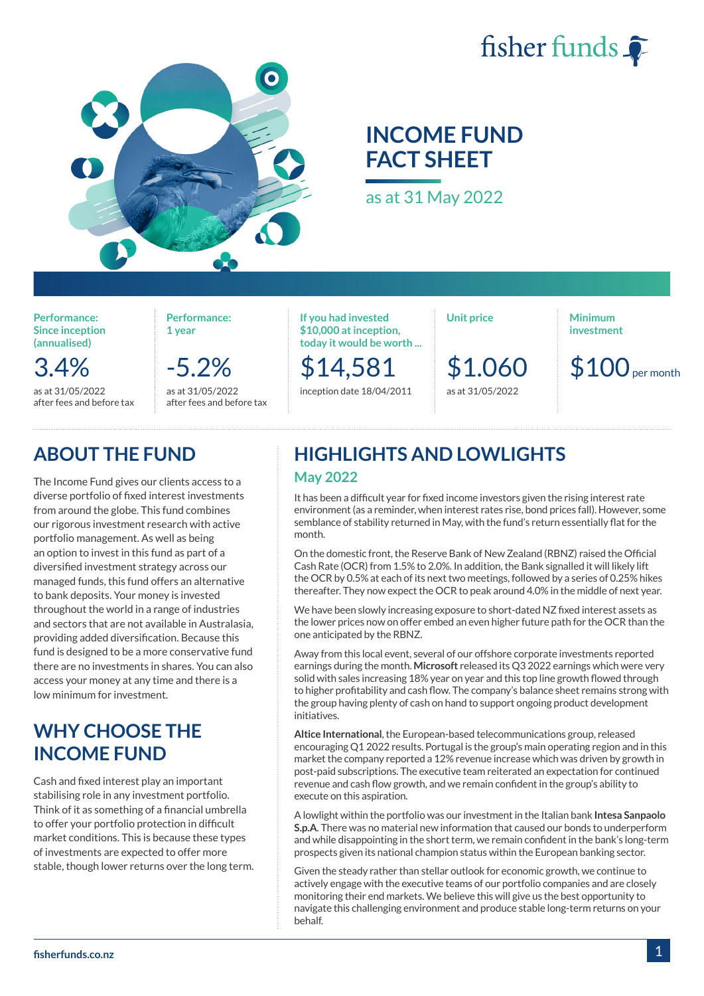



# **INCOME FUND FACT SHEET**

as at 31 May 2022

**Performance: Since inception (annualised)**

3.4%

as at 31/05/2022 after fees and before tax

**Performance: 1 year**

> -5.2% as at 31/05/2022 after fees and before tax

**If you had invested \$10,000 at inception, today it would be worth ...**

\$14,581 inception date 18/04/2011 **Unit price**

\$1.060 as at 31/05/2022

**Minimum investment**

 $$100$ <sub>per month</sub>

# **ABOUT THE FUND**

The Income Fund gives our clients access to a diverse portfolio of fixed interest investments from around the globe. This fund combines our rigorous investment research with active portfolio management. As well as being an option to invest in this fund as part of a diversified investment strategy across our managed funds, this fund offers an alternative to bank deposits. Your money is invested throughout the world in a range of industries and sectors that are not available in Australasia, providing added diversification. Because this fund is designed to be a more conservative fund there are no investments in shares. You can also access your money at any time and there is a low minimum for investment.

## **WHY CHOOSE THE INCOME FUND**

Cash and fixed interest play an important stabilising role in any investment portfolio. Think of it as something of a financial umbrella to offer your portfolio protection in difficult market conditions. This is because these types of investments are expected to offer more stable, though lower returns over the long term.

### **HIGHLIGHTS AND LOWLIGHTS May 2022**

It has been a difficult year for fixed income investors given the rising interest rate environment (as a reminder, when interest rates rise, bond prices fall). However, some semblance of stability returned in May, with the fund's return essentially flat for the month.

On the domestic front, the Reserve Bank of New Zealand (RBNZ) raised the Official Cash Rate (OCR) from 1.5% to 2.0%. In addition, the Bank signalled it will likely lift the OCR by 0.5% at each of its next two meetings, followed by a series of 0.25% hikes thereafter. They now expect the OCR to peak around 4.0% in the middle of next year.

We have been slowly increasing exposure to short-dated NZ fixed interest assets as the lower prices now on offer embed an even higher future path for the OCR than the one anticipated by the RBNZ.

Away from this local event, several of our offshore corporate investments reported earnings during the month. **Microsoft** released its Q3 2022 earnings which were very solid with sales increasing 18% year on year and this top line growth flowed through to higher profitability and cash flow. The company's balance sheet remains strong with the group having plenty of cash on hand to support ongoing product development initiatives.

**Altice International**, the European-based telecommunications group, released encouraging Q1 2022 results. Portugal is the group's main operating region and in this market the company reported a 12% revenue increase which was driven by growth in post-paid subscriptions. The executive team reiterated an expectation for continued revenue and cash flow growth, and we remain confident in the group's ability to execute on this aspiration.

A lowlight within the portfolio was our investment in the Italian bank **Intesa Sanpaolo S.p.A**. There was no material new information that caused our bonds to underperform and while disappointing in the short term, we remain confident in the bank's long-term prospects given its national champion status within the European banking sector.

Given the steady rather than stellar outlook for economic growth, we continue to actively engage with the executive teams of our portfolio companies and are closely monitoring their end markets. We believe this will give us the best opportunity to navigate this challenging environment and produce stable long-term returns on your behalf.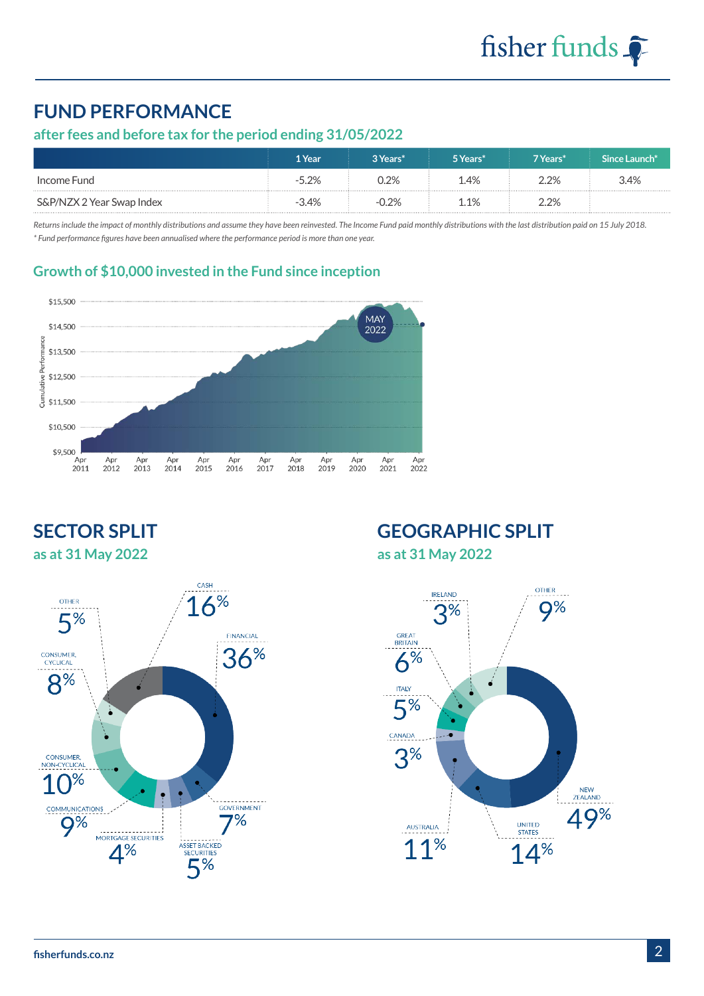# **FUND PERFORMANCE**

#### **after fees and before tax for the period ending 31/05/2022**

|                           | 1 Year  | 3 Years* | 5 Years*            | 7 Years*     | Since Launch* |
|---------------------------|---------|----------|---------------------|--------------|---------------|
| Income Fund               | -5.2%   | 2%       | $\frac{1.4\%}{1.5}$ | <u>ን ጋ% </u> | 3.4%          |
| S&P/NZX 2 Year Swap Index | $-3.4%$ | $-0.2%$  | 1 1%                | $2.2\%$      |               |

*Returns include the impact of monthly distributions and assume they have been reinvested. The Income Fund paid monthly distributions with the last distribution paid on 15 July 2018. \* Fund performance figures have been annualised where the performance period is more than one year.*

#### **Growth of \$10,000 invested in the Fund since inception**



### **SECTOR SPLIT as at 31 May 2022**



# **GEOGRAPHIC SPLIT**

**as at 31 May 2022**